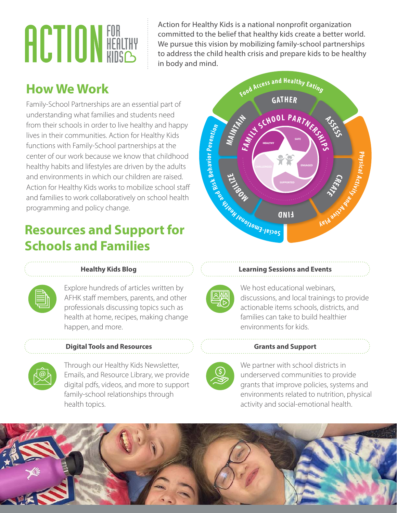# **ACTION FOR HEALTHY**

Action for Healthy Kids is a national nonprofit organization committed to the belief that healthy kids create a better world. We pursue this vision by mobilizing family-school partnerships to address the child health crisis and prepare kids to be healthy in body and mind.

# **How We Work**

Family-School Partnerships are an essential part of understanding what families and students need from their schools in order to live healthy and happy lives in their communities. Action for Healthy Kids functions with Family-School partnerships at the center of our work because we know that childhood healthy habits and lifestyles are driven by the adults and environments in which our children are raised. Action for Healthy Kids works to mobilize school staff and families to work collaboratively on school health programming and policy change.

# **Resources and Support for Schools and Families**



#### **Healthy Kids Blog**

Explore hundreds of articles written by AFHK staff members, parents, and other professionals discussing topics such as health at home, recipes, making change happen, and more.

### **Digital Tools and Resources**



Through our Healthy Kids Newsletter, Emails, and Resource Library, we provide digital pdfs, videos, and more to support family-school relationships through health topics.

#### **Learning Sessions and Events**



We host educational webinars, discussions, and local trainings to provide actionable items schools, districts, and families can take to build healthier environments for kids.

#### **Grants and Support**



We partner with school districts in underserved communities to provide grants that improve policies, systems and environments related to nutrition, physical activity and social-emotional health.